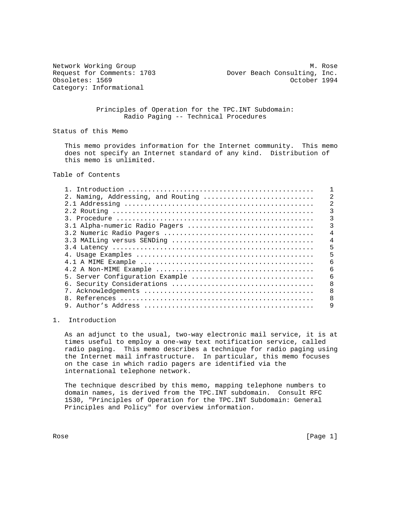Category: Informational

Network Working Group Manus (2008) 2012 12:30 More Month Manus (2008) 2014 Request for Comments: 1703 Dover Beach Consulting, Inc. Obsoletes: 1569 October 1994

### Principles of Operation for the TPC.INT Subdomain: Radio Paging -- Technical Procedures

Status of this Memo

 This memo provides information for the Internet community. This memo does not specify an Internet standard of any kind. Distribution of this memo is unlimited.

Table of Contents

| Introduction                       |   |
|------------------------------------|---|
| 2. Naming, Addressing, and Routing | 2 |
|                                    |   |
|                                    |   |
|                                    |   |
| 3.1 Alpha-numeric Radio Pagers     |   |
|                                    |   |
|                                    | 4 |
|                                    | 5 |
|                                    |   |
|                                    | 6 |
|                                    | б |
| 5. Server Configuration Example    | 6 |
|                                    | 8 |
|                                    | 8 |
| 8                                  | 8 |
| Author's Address                   | 9 |
|                                    |   |

# 1. Introduction

 As an adjunct to the usual, two-way electronic mail service, it is at times useful to employ a one-way text notification service, called radio paging. This memo describes a technique for radio paging using the Internet mail infrastructure. In particular, this memo focuses on the case in which radio pagers are identified via the international telephone network.

 The technique described by this memo, mapping telephone numbers to domain names, is derived from the TPC.INT subdomain. Consult RFC 1530, "Principles of Operation for the TPC.INT Subdomain: General Principles and Policy" for overview information.

Rose [Page 1]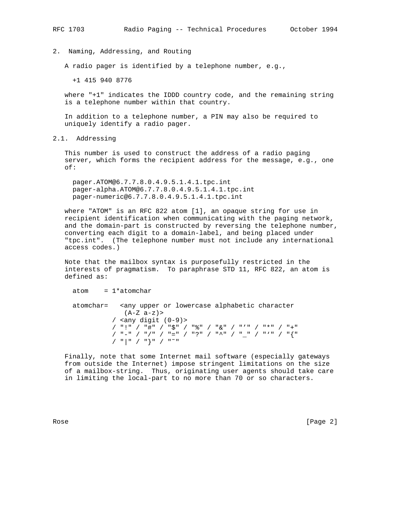2. Naming, Addressing, and Routing

A radio pager is identified by a telephone number, e.g.,

+1 415 940 8776

 where "+1" indicates the IDDD country code, and the remaining string is a telephone number within that country.

 In addition to a telephone number, a PIN may also be required to uniquely identify a radio pager.

2.1. Addressing

 This number is used to construct the address of a radio paging server, which forms the recipient address for the message, e.g., one of:

 pager.ATOM@6.7.7.8.0.4.9.5.1.4.1.tpc.int pager-alpha.ATOM@6.7.7.8.0.4.9.5.1.4.1.tpc.int pager-numeric@6.7.7.8.0.4.9.5.1.4.1.tpc.int

 where "ATOM" is an RFC 822 atom [1], an opaque string for use in recipient identification when communicating with the paging network, and the domain-part is constructed by reversing the telephone number, converting each digit to a domain-label, and being placed under "tpc.int". (The telephone number must not include any international access codes.)

 Note that the mailbox syntax is purposefully restricted in the interests of pragmatism. To paraphrase STD 11, RFC 822, an atom is defined as:

```
atom = 1*atomchar
```
 atomchar= <any upper or lowercase alphabetic character  $(A-Z a-z)$  / <any digit (0-9)> / "!" / "#" / "\$" / "%" / "&" / "'" / "\*" / "+" / "-" / "/" / "=" / "?" / "^" / "\_" / "'" / "{" / "|" / "}" / "˜"

 Finally, note that some Internet mail software (especially gateways from outside the Internet) impose stringent limitations on the size of a mailbox-string. Thus, originating user agents should take care in limiting the local-part to no more than 70 or so characters.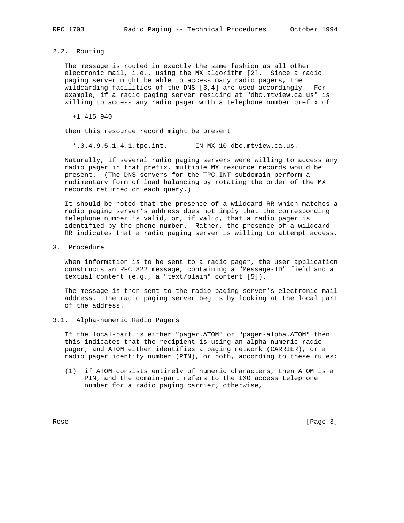### 2.2. Routing

 The message is routed in exactly the same fashion as all other electronic mail, i.e., using the MX algorithm [2]. Since a radio paging server might be able to access many radio pagers, the wildcarding facilities of the DNS [3,4] are used accordingly. For example, if a radio paging server residing at "dbc.mtview.ca.us" is willing to access any radio pager with a telephone number prefix of

+1 415 940

then this resource record might be present

\*.0.4.9.5.1.4.1.tpc.int. IN MX 10 dbc.mtview.ca.us.

 Naturally, if several radio paging servers were willing to access any radio pager in that prefix, multiple MX resource records would be present. (The DNS servers for the TPC.INT subdomain perform a rudimentary form of load balancing by rotating the order of the MX records returned on each query.)

 It should be noted that the presence of a wildcard RR which matches a radio paging server's address does not imply that the corresponding telephone number is valid, or, if valid, that a radio pager is identified by the phone number. Rather, the presence of a wildcard RR indicates that a radio paging server is willing to attempt access.

3. Procedure

 When information is to be sent to a radio pager, the user application constructs an RFC 822 message, containing a "Message-ID" field and a textual content (e.g., a "text/plain" content [5]).

 The message is then sent to the radio paging server's electronic mail address. The radio paging server begins by looking at the local part of the address.

#### 3.1. Alpha-numeric Radio Pagers

 If the local-part is either "pager.ATOM" or "pager-alpha.ATOM" then this indicates that the recipient is using an alpha-numeric radio pager, and ATOM either identifies a paging network (CARRIER), or a radio pager identity number (PIN), or both, according to these rules:

 (1) if ATOM consists entirely of numeric characters, then ATOM is a PIN, and the domain-part refers to the IXO access telephone number for a radio paging carrier; otherwise,

Rose [Page 3]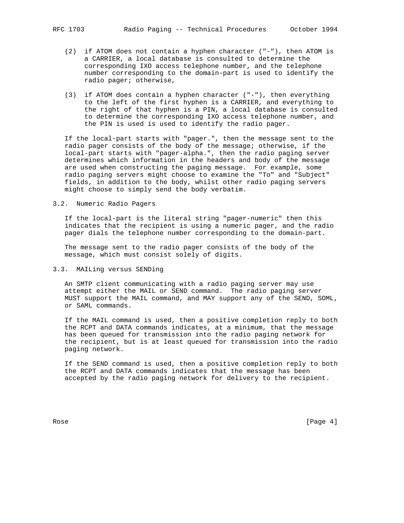- (2) if ATOM does not contain a hyphen character ("-"), then ATOM is a CARRIER, a local database is consulted to determine the corresponding IXO access telephone number, and the telephone number corresponding to the domain-part is used to identify the radio pager; otherwise,
- (3) if ATOM does contain a hyphen character ("-"), then everything to the left of the first hyphen is a CARRIER, and everything to the right of that hyphen is a PIN, a local database is consulted to determine the corresponding IXO access telephone number, and the PIN is used is used to identify the radio pager.

 If the local-part starts with "pager.", then the message sent to the radio pager consists of the body of the message; otherwise, if the local-part starts with "pager-alpha.", then the radio paging server determines which information in the headers and body of the message are used when constructing the paging message. For example, some radio paging servers might choose to examine the "To" and "Subject" fields, in addition to the body, whilst other radio paging servers might choose to simply send the body verbatim.

3.2. Numeric Radio Pagers

 If the local-part is the literal string "pager-numeric" then this indicates that the recipient is using a numeric pager, and the radio pager dials the telephone number corresponding to the domain-part.

 The message sent to the radio pager consists of the body of the message, which must consist solely of digits.

3.3. MAILing versus SENDing

 An SMTP client communicating with a radio paging server may use attempt either the MAIL or SEND command. The radio paging server MUST support the MAIL command, and MAY support any of the SEND, SOML, or SAML commands.

 If the MAIL command is used, then a positive completion reply to both the RCPT and DATA commands indicates, at a minimum, that the message has been queued for transmission into the radio paging network for the recipient, but is at least queued for transmission into the radio paging network.

 If the SEND command is used, then a positive completion reply to both the RCPT and DATA commands indicates that the message has been accepted by the radio paging network for delivery to the recipient.

Rose [Page 4]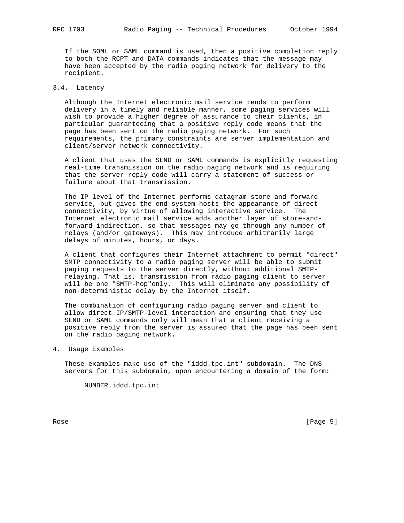If the SOML or SAML command is used, then a positive completion reply to both the RCPT and DATA commands indicates that the message may have been accepted by the radio paging network for delivery to the recipient.

## 3.4. Latency

 Although the Internet electronic mail service tends to perform delivery in a timely and reliable manner, some paging services will wish to provide a higher degree of assurance to their clients, in particular guaranteeing that a positive reply code means that the page has been sent on the radio paging network. For such requirements, the primary constraints are server implementation and client/server network connectivity.

 A client that uses the SEND or SAML commands is explicitly requesting real-time transmission on the radio paging network and is requiring that the server reply code will carry a statement of success or failure about that transmission.

 The IP level of the Internet performs datagram store-and-forward service, but gives the end system hosts the appearance of direct connectivity, by virtue of allowing interactive service. The Internet electronic mail service adds another layer of store-and forward indirection, so that messages may go through any number of relays (and/or gateways). This may introduce arbitrarily large delays of minutes, hours, or days.

 A client that configures their Internet attachment to permit "direct" SMTP connectivity to a radio paging server will be able to submit paging requests to the server directly, without additional SMTP relaying. That is, transmission from radio paging client to server will be one "SMTP-hop"only. This will eliminate any possibility of non-deterministic delay by the Internet itself.

 The combination of configuring radio paging server and client to allow direct IP/SMTP-level interaction and ensuring that they use SEND or SAML commands only will mean that a client receiving a positive reply from the server is assured that the page has been sent on the radio paging network.

4. Usage Examples

 These examples make use of the "iddd.tpc.int" subdomain. The DNS servers for this subdomain, upon encountering a domain of the form:

NUMBER.iddd.tpc.int

Rose [Page 5]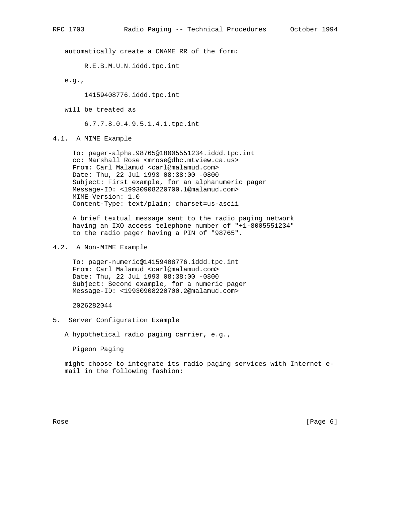automatically create a CNAME RR of the form:

R.E.B.M.U.N.iddd.tpc.int

e.g.,

14159408776.iddd.tpc.int

will be treated as

6.7.7.8.0.4.9.5.1.4.1.tpc.int

4.1. A MIME Example

 To: pager-alpha.98765@18005551234.iddd.tpc.int cc: Marshall Rose <mrose@dbc.mtview.ca.us> From: Carl Malamud <carl@malamud.com> Date: Thu, 22 Jul 1993 08:38:00 -0800 Subject: First example, for an alphanumeric pager Message-ID: <19930908220700.1@malamud.com> MIME-Version: 1.0 Content-Type: text/plain; charset=us-ascii

 A brief textual message sent to the radio paging network having an IXO access telephone number of "+1-8005551234" to the radio pager having a PIN of "98765".

4.2. A Non-MIME Example

 To: pager-numeric@14159408776.iddd.tpc.int From: Carl Malamud <carl@malamud.com> Date: Thu, 22 Jul 1993 08:38:00 -0800 Subject: Second example, for a numeric pager Message-ID: <19930908220700.2@malamud.com>

2026282044

5. Server Configuration Example

A hypothetical radio paging carrier, e.g.,

Pigeon Paging

 might choose to integrate its radio paging services with Internet e mail in the following fashion:

Rose [Page 6]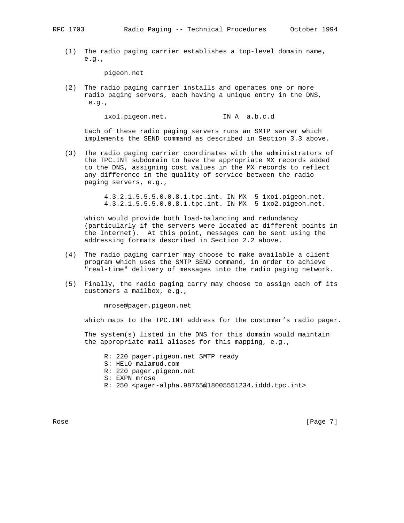(1) The radio paging carrier establishes a top-level domain name, e.g.,

pigeon.net

 (2) The radio paging carrier installs and operates one or more radio paging servers, each having a unique entry in the DNS, e.g.,

ixo1.pigeon.net. IN A a.b.c.d

 Each of these radio paging servers runs an SMTP server which implements the SEND command as described in Section 3.3 above.

 (3) The radio paging carrier coordinates with the administrators of the TPC.INT subdomain to have the appropriate MX records added to the DNS, assigning cost values in the MX records to reflect any difference in the quality of service between the radio paging servers, e.g.,

> 4.3.2.1.5.5.5.0.0.8.1.tpc.int. IN MX 5 ixo1.pigeon.net. 4.3.2.1.5.5.5.0.0.8.1.tpc.int. IN MX 5 ixo2.pigeon.net.

 which would provide both load-balancing and redundancy (particularly if the servers were located at different points in the Internet). At this point, messages can be sent using the addressing formats described in Section 2.2 above.

- (4) The radio paging carrier may choose to make available a client program which uses the SMTP SEND command, in order to achieve "real-time" delivery of messages into the radio paging network.
- (5) Finally, the radio paging carry may choose to assign each of its customers a mailbox, e.g.,

mrose@pager.pigeon.net

which maps to the TPC.INT address for the customer's radio pager.

 The system(s) listed in the DNS for this domain would maintain the appropriate mail aliases for this mapping, e.g.,

 R: 220 pager.pigeon.net SMTP ready S: HELO malamud.com R: 220 pager.pigeon.net S: EXPN mrose R: 250 <pager-alpha.98765@18005551234.iddd.tpc.int>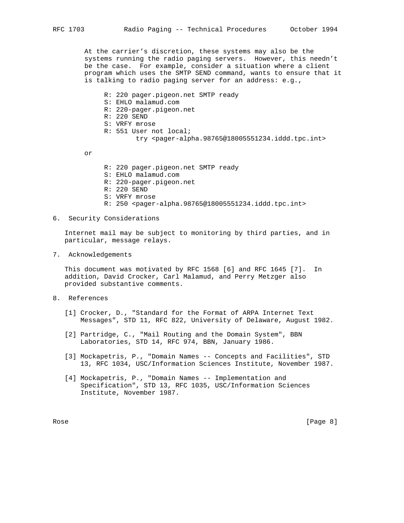At the carrier's discretion, these systems may also be the systems running the radio paging servers. However, this needn't be the case. For example, consider a situation where a client program which uses the SMTP SEND command, wants to ensure that it is talking to radio paging server for an address: e.g.,

 R: 220 pager.pigeon.net SMTP ready S: EHLO malamud.com R: 220-pager.pigeon.net R: 220 SEND S: VRFY mrose R: 551 User not local; try <pager-alpha.98765@18005551234.iddd.tpc.int>

or

- R: 220 pager.pigeon.net SMTP ready
- S: EHLO malamud.com
- R: 220-pager.pigeon.net
- R: 220 SEND
- S: VRFY mrose
- R: 250 <pager-alpha.98765@18005551234.iddd.tpc.int>
- 6. Security Considerations

 Internet mail may be subject to monitoring by third parties, and in particular, message relays.

7. Acknowledgements

 This document was motivated by RFC 1568 [6] and RFC 1645 [7]. In addition, David Crocker, Carl Malamud, and Perry Metzger also provided substantive comments.

- 8. References
	- [1] Crocker, D., "Standard for the Format of ARPA Internet Text Messages", STD 11, RFC 822, University of Delaware, August 1982.
	- [2] Partridge, C., "Mail Routing and the Domain System", BBN Laboratories, STD 14, RFC 974, BBN, January 1986.
	- [3] Mockapetris, P., "Domain Names -- Concepts and Facilities", STD 13, RFC 1034, USC/Information Sciences Institute, November 1987.
	- [4] Mockapetris, P., "Domain Names -- Implementation and Specification", STD 13, RFC 1035, USC/Information Sciences Institute, November 1987.

Rose [Page 8]